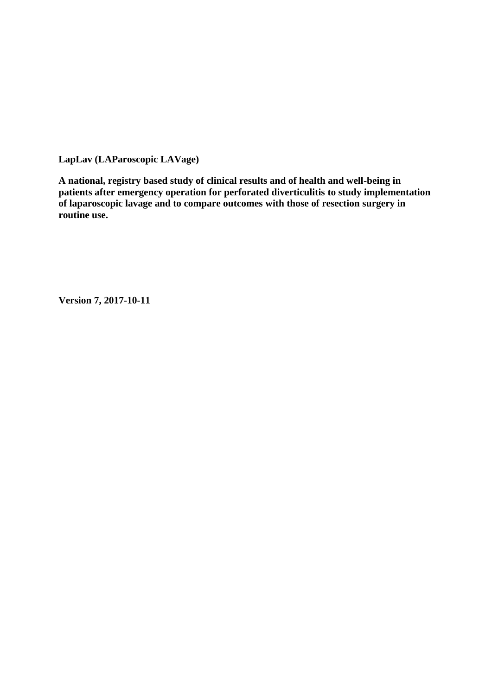**LapLav (LAParoscopic LAVage)**

**A national, registry based study of clinical results and of health and well-being in patients after emergency operation for perforated diverticulitis to study implementation of laparoscopic lavage and to compare outcomes with those of resection surgery in routine use.**

**Version 7, 2017-10-11**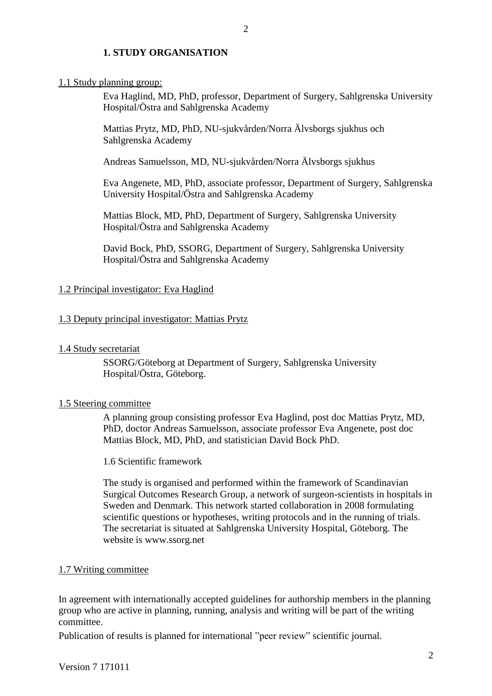### **1. STUDY ORGANISATION**

#### 1.1 Study planning group:

Eva Haglind, MD, PhD, professor, Department of Surgery, Sahlgrenska University Hospital/Östra and Sahlgrenska Academy

Mattias Prytz, MD, PhD, NU-sjukvården/Norra Älvsborgs sjukhus och Sahlgrenska Academy

 $\mathcal{D}_{\alpha}$ 

Andreas Samuelsson, MD, NU-sjukvården/Norra Älvsborgs sjukhus

Eva Angenete, MD, PhD, associate professor, Department of Surgery, Sahlgrenska University Hospital/Östra and Sahlgrenska Academy

Mattias Block, MD, PhD, Department of Surgery, Sahlgrenska University Hospital/Östra and Sahlgrenska Academy

David Bock, PhD, SSORG, Department of Surgery, Sahlgrenska University Hospital/Östra and Sahlgrenska Academy

#### 1.2 Principal investigator: Eva Haglind

#### 1.3 Deputy principal investigator: Mattias Prytz

1.4 Study secretariat

SSORG/Göteborg at Department of Surgery, Sahlgrenska University Hospital/Östra, Göteborg.

#### 1.5 Steering committee

A planning group consisting professor Eva Haglind, post doc Mattias Prytz, MD, PhD, doctor Andreas Samuelsson, associate professor Eva Angenete, post doc Mattias Block, MD, PhD, and statistician David Bock PhD.

1.6 Scientific framework

The study is organised and performed within the framework of Scandinavian Surgical Outcomes Research Group, a network of surgeon-scientists in hospitals in Sweden and Denmark. This network started collaboration in 2008 formulating scientific questions or hypotheses, writing protocols and in the running of trials. The secretariat is situated at Sahlgrenska University Hospital, Göteborg. The website is www.ssorg.net

# 1.7 Writing committee

In agreement with internationally accepted guidelines for authorship members in the planning group who are active in planning, running, analysis and writing will be part of the writing committee.

Publication of results is planned for international "peer review" scientific journal.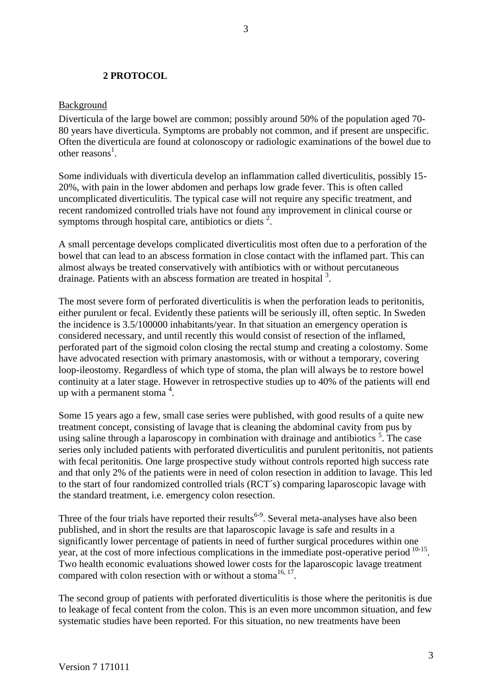### **2 PROTOCOL**

#### Background

Diverticula of the large bowel are common; possibly around 50% of the population aged 70- 80 years have diverticula. Symptoms are probably not common, and if present are unspecific. Often the diverticula are found at colonoscopy or radiologic examinations of the bowel due to other rea[s](#page-9-0)ons<sup>1</sup>.

Some individuals with diverticula develop an inflammation called diverticulitis, possibly 15- 20%, with pain in the lower abdomen and perhaps low grade fever. This is often called uncomplicated diverticulitis. The typical case will not require any specific treatment, and recent randomized controlled trials have not found any improvement in clinical course or symptoms through hospital care, antibiotics or diets  $2$ .

A small percentage develops complicated diverticulitis most often due to a perforation of the bowel that can lead to an abscess formation in close contact with the inflamed part. This can almost always be treated conservatively with antibiotics with or without percutaneous drainage. Patients with an abscess formation are treated in hospital  $3$ .

The most severe form of perforated diverticulitis is when the perforation leads to peritonitis, either purulent or fecal. Evidently these patients will be seriously ill, often septic. In Sweden the incidence is 3.5/100000 inhabitants/year. In that situation an emergency operation is considered necessary, and until recently this would consist of resection of the inflamed, perforated part of the sigmoid colon closing the rectal stump and creating a colostomy. Some have advocated resection with primary anastomosis, with or without a temporary, covering loop-ileostomy. Regardless of which type of stoma, the plan will always be to restore bowel continuity at a later stage. However in retrospective studies up to 40% of the patients will end up with a permanent stoma  $4$ .

Some 15 years ago a few, small case series were published, with good results of a quite new treatment concept, consisting of lavage that is cleaning the abdominal cavity from pus by using saline through a laparoscopy in combination with drainage and antibiotics  $5$ . The case series only included patients with perforated diverticulitis and purulent peritonitis, not patients with fecal peritonitis. One large prospective study without controls reported high success rate and that only 2% of the patients were in need of colon resection in addition to lavage. This led to the start of four randomized controlled trials (RCT´s) comparing laparoscopic lavage with the standard treatment, i.e. emergency colon resection.

Three of the four trials have reported their results<sup>[6-9](#page-9-5)</sup>[.](#page-9-5) Several meta-analyses have also been published, and in short the results are that laparoscopic lavage is safe and results in a significantly lower percentage of patients in need of further surgical procedures within one year, at the cost of more infectious complications in the immediate post-operative period <sup>[10-15](#page-9-6)</sup>. Two health economic evaluations showed lower costs for the laparoscopic lavage treatment compared with colon resection with or without a stoma<sup>[16,](#page-9-7) [17](#page-9-8)</sup>.

The second group of patients with perforated diverticulitis is those where the peritonitis is due to leakage of fecal content from the colon. This is an even more uncommon situation, and few systematic studies have been reported. For this situation, no new treatments have been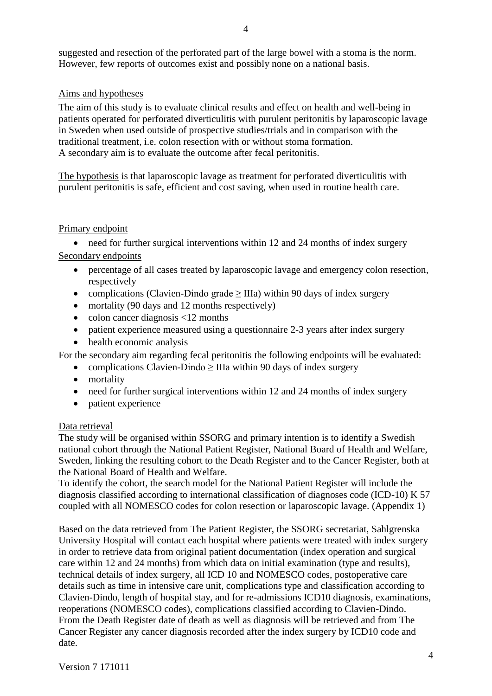suggested and resection of the perforated part of the large bowel with a stoma is the norm. However, few reports of outcomes exist and possibly none on a national basis.

## Aims and hypotheses

The aim of this study is to evaluate clinical results and effect on health and well-being in patients operated for perforated diverticulitis with purulent peritonitis by laparoscopic lavage in Sweden when used outside of prospective studies/trials and in comparison with the traditional treatment, i.e. colon resection with or without stoma formation. A secondary aim is to evaluate the outcome after fecal peritonitis.

The hypothesis is that laparoscopic lavage as treatment for perforated diverticulitis with purulent peritonitis is safe, efficient and cost saving, when used in routine health care.

### Primary endpoint

• need for further surgical interventions within 12 and 24 months of index surgery Secondary endpoints

- percentage of all cases treated by laparoscopic lavage and emergency colon resection, respectively
- complications (Clavien-Dindo grade  $\geq$  IIIa) within 90 days of index surgery
- mortality (90 days and 12 months respectively)
- colon cancer diagnosis  $\langle 12 \text{ months} \rangle$
- patient experience measured using a questionnaire 2-3 years after index surgery
- health economic analysis

For the secondary aim regarding fecal peritonitis the following endpoints will be evaluated:

- complications Clavien-Dindo  $\geq$  IIIa within 90 days of index surgery
- mortality
- need for further surgical interventions within 12 and 24 months of index surgery
- patient experience

# Data retrieval

The study will be organised within SSORG and primary intention is to identify a Swedish national cohort through the National Patient Register, National Board of Health and Welfare, Sweden, linking the resulting cohort to the Death Register and to the Cancer Register, both at the National Board of Health and Welfare.

To identify the cohort, the search model for the National Patient Register will include the diagnosis classified according to international classification of diagnoses code (ICD-10) K 57 coupled with all NOMESCO codes for colon resection or laparoscopic lavage. (Appendix 1)

Based on the data retrieved from The Patient Register, the SSORG secretariat, Sahlgrenska University Hospital will contact each hospital where patients were treated with index surgery in order to retrieve data from original patient documentation (index operation and surgical care within 12 and 24 months) from which data on initial examination (type and results), technical details of index surgery, all ICD 10 and NOMESCO codes, postoperative care details such as time in intensive care unit, complications type and classification according to Clavien-Dindo, length of hospital stay, and for re-admissions ICD10 diagnosis, examinations, reoperations (NOMESCO codes), complications classified according to Clavien-Dindo. From the Death Register date of death as well as diagnosis will be retrieved and from The Cancer Register any cancer diagnosis recorded after the index surgery by ICD10 code and date.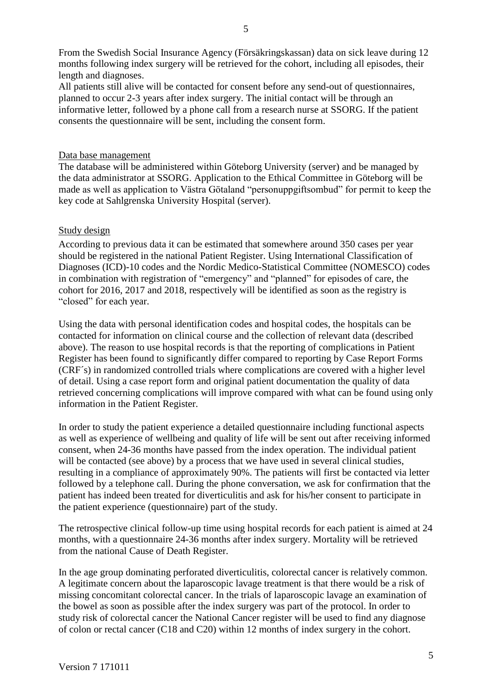From the Swedish Social Insurance Agency (Försäkringskassan) data on sick leave during 12 months following index surgery will be retrieved for the cohort, including all episodes, their length and diagnoses.

All patients still alive will be contacted for consent before any send-out of questionnaires, planned to occur 2-3 years after index surgery. The initial contact will be through an informative letter, followed by a phone call from a research nurse at SSORG. If the patient consents the questionnaire will be sent, including the consent form.

#### Data base management

The database will be administered within Göteborg University (server) and be managed by the data administrator at SSORG. Application to the Ethical Committee in Göteborg will be made as well as application to Västra Götaland "personuppgiftsombud" for permit to keep the key code at Sahlgrenska University Hospital (server).

### Study design

According to previous data it can be estimated that somewhere around 350 cases per year should be registered in the national Patient Register. Using International Classification of Diagnoses (ICD)-10 codes and the Nordic Medico-Statistical Committee (NOMESCO) codes in combination with registration of "emergency" and "planned" for episodes of care, the cohort for 2016, 2017 and 2018, respectively will be identified as soon as the registry is "closed" for each year.

Using the data with personal identification codes and hospital codes, the hospitals can be contacted for information on clinical course and the collection of relevant data (described above). The reason to use hospital records is that the reporting of complications in Patient Register has been found to significantly differ compared to reporting by Case Report Forms (CRF´s) in randomized controlled trials where complications are covered with a higher level of detail. Using a case report form and original patient documentation the quality of data retrieved concerning complications will improve compared with what can be found using only information in the Patient Register.

In order to study the patient experience a detailed questionnaire including functional aspects as well as experience of wellbeing and quality of life will be sent out after receiving informed consent, when 24-36 months have passed from the index operation. The individual patient will be contacted (see above) by a process that we have used in several clinical studies, resulting in a compliance of approximately 90%. The patients will first be contacted via letter followed by a telephone call. During the phone conversation, we ask for confirmation that the patient has indeed been treated for diverticulitis and ask for his/her consent to participate in the patient experience (questionnaire) part of the study.

The retrospective clinical follow-up time using hospital records for each patient is aimed at 24 months, with a questionnaire 24-36 months after index surgery. Mortality will be retrieved from the national Cause of Death Register.

In the age group dominating perforated diverticulitis, colorectal cancer is relatively common. A legitimate concern about the laparoscopic lavage treatment is that there would be a risk of missing concomitant colorectal cancer. In the trials of laparoscopic lavage an examination of the bowel as soon as possible after the index surgery was part of the protocol. In order to study risk of colorectal cancer the National Cancer register will be used to find any diagnose of colon or rectal cancer (C18 and C20) within 12 months of index surgery in the cohort.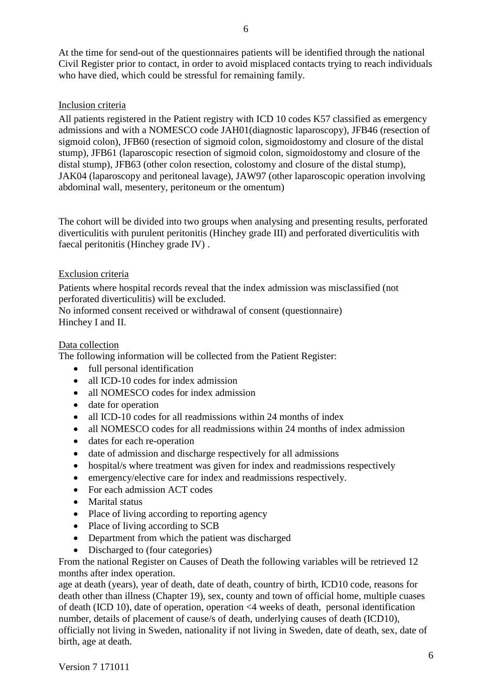At the time for send-out of the questionnaires patients will be identified through the national Civil Register prior to contact, in order to avoid misplaced contacts trying to reach individuals who have died, which could be stressful for remaining family.

### Inclusion criteria

All patients registered in the Patient registry with ICD 10 codes K57 classified as emergency admissions and with a NOMESCO code JAH01(diagnostic laparoscopy), JFB46 (resection of sigmoid colon), JFB60 (resection of sigmoid colon, sigmoidostomy and closure of the distal stump), JFB61 (laparoscopic resection of sigmoid colon, sigmoidostomy and closure of the distal stump), JFB63 (other colon resection, colostomy and closure of the distal stump), JAK04 (laparoscopy and peritoneal lavage), JAW97 (other laparoscopic operation involving abdominal wall, mesentery, peritoneum or the omentum)

The cohort will be divided into two groups when analysing and presenting results, perforated diverticulitis with purulent peritonitis (Hinchey grade III) and perforated diverticulitis with faecal peritonitis (Hinchey grade IV) .

### Exclusion criteria

Patients where hospital records reveal that the index admission was misclassified (not perforated diverticulitis) will be excluded.

No informed consent received or withdrawal of consent (questionnaire) Hinchey I and II.

### Data collection

The following information will be collected from the Patient Register:

- full personal identification
- all ICD-10 codes for index admission
- all NOMESCO codes for index admission
- date for operation
- all ICD-10 codes for all readmissions within 24 months of index
- all NOMESCO codes for all readmissions within 24 months of index admission
- dates for each re-operation
- date of admission and discharge respectively for all admissions
- hospital/s where treatment was given for index and readmissions respectively
- emergency/elective care for index and readmissions respectively.
- For each admission ACT codes
- Marital status
- Place of living according to reporting agency
- Place of living according to SCB
- Department from which the patient was discharged
- Discharged to (four categories)

From the national Register on Causes of Death the following variables will be retrieved 12 months after index operation.

age at death (years), year of death, date of death, country of birth, ICD10 code, reasons for death other than illness (Chapter 19), sex, county and town of official home, multiple cuases of death (ICD 10), date of operation, operation <4 weeks of death, personal identification number, details of placement of cause/s of death, underlying causes of death (ICD10), officially not living in Sweden, nationality if not living in Sweden, date of death, sex, date of birth, age at death.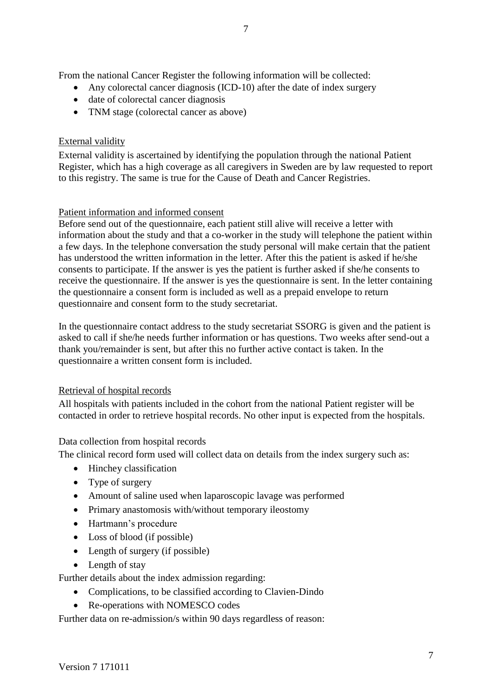From the national Cancer Register the following information will be collected:

- Any colorectal cancer diagnosis (ICD-10) after the date of index surgery
- date of colorectal cancer diagnosis
- TNM stage (colorectal cancer as above)

# External validity

External validity is ascertained by identifying the population through the national Patient Register, which has a high coverage as all caregivers in Sweden are by law requested to report to this registry. The same is true for the Cause of Death and Cancer Registries.

# Patient information and informed consent

Before send out of the questionnaire, each patient still alive will receive a letter with information about the study and that a co-worker in the study will telephone the patient within a few days. In the telephone conversation the study personal will make certain that the patient has understood the written information in the letter. After this the patient is asked if he/she consents to participate. If the answer is yes the patient is further asked if she/he consents to receive the questionnaire. If the answer is yes the questionnaire is sent. In the letter containing the questionnaire a consent form is included as well as a prepaid envelope to return questionnaire and consent form to the study secretariat.

In the questionnaire contact address to the study secretariat SSORG is given and the patient is asked to call if she/he needs further information or has questions. Two weeks after send-out a thank you/remainder is sent, but after this no further active contact is taken. In the questionnaire a written consent form is included.

# Retrieval of hospital records

All hospitals with patients included in the cohort from the national Patient register will be contacted in order to retrieve hospital records. No other input is expected from the hospitals.

# Data collection from hospital records

The clinical record form used will collect data on details from the index surgery such as:

- Hinchey classification
- Type of surgery
- Amount of saline used when laparoscopic lavage was performed
- Primary anastomosis with/without temporary ileostomy
- Hartmann's procedure
- Loss of blood (if possible)
- Length of surgery (if possible)
- Length of stay

Further details about the index admission regarding:

- Complications, to be classified according to Clavien-Dindo
- Re-operations with NOMESCO codes

Further data on re-admission/s within 90 days regardless of reason: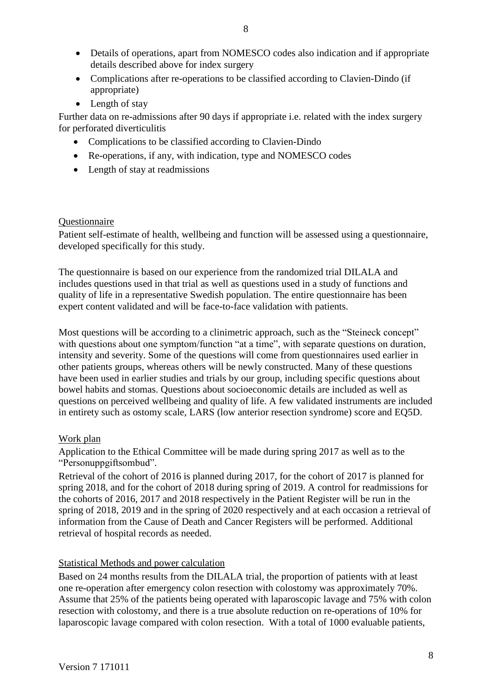- Details of operations, apart from NOMESCO codes also indication and if appropriate details described above for index surgery
- Complications after re-operations to be classified according to Clavien-Dindo (if appropriate)
- Length of stay

Further data on re-admissions after 90 days if appropriate i.e. related with the index surgery for perforated diverticulitis

- Complications to be classified according to Clavien-Dindo
- Re-operations, if any, with indication, type and NOMESCO codes
- Length of stay at readmissions

### **Ouestionnaire**

Patient self-estimate of health, wellbeing and function will be assessed using a questionnaire, developed specifically for this study.

The questionnaire is based on our experience from the randomized trial DILALA and includes questions used in that trial as well as questions used in a study of functions and quality of life in a representative Swedish population. The entire questionnaire has been expert content validated and will be face-to-face validation with patients.

Most questions will be according to a clinimetric approach, such as the "Steineck concept" with questions about one symptom/function "at a time", with separate questions on duration, intensity and severity. Some of the questions will come from questionnaires used earlier in other patients groups, whereas others will be newly constructed. Many of these questions have been used in earlier studies and trials by our group, including specific questions about bowel habits and stomas. Questions about socioeconomic details are included as well as questions on perceived wellbeing and quality of life. A few validated instruments are included in entirety such as ostomy scale, LARS (low anterior resection syndrome) score and EQ5D.

# Work plan

Application to the Ethical Committee will be made during spring 2017 as well as to the "Personuppgiftsombud".

Retrieval of the cohort of 2016 is planned during 2017, for the cohort of 2017 is planned for spring 2018, and for the cohort of 2018 during spring of 2019. A control for readmissions for the cohorts of 2016, 2017 and 2018 respectively in the Patient Register will be run in the spring of 2018, 2019 and in the spring of 2020 respectively and at each occasion a retrieval of information from the Cause of Death and Cancer Registers will be performed. Additional retrieval of hospital records as needed.

# Statistical Methods and power calculation

Based on 24 months results from the DILALA trial, the proportion of patients with at least one re-operation after emergency colon resection with colostomy was approximately 70%. Assume that 25% of the patients being operated with laparoscopic lavage and 75% with colon resection with colostomy, and there is a true absolute reduction on re-operations of 10% for laparoscopic lavage compared with colon resection. With a total of 1000 evaluable patients,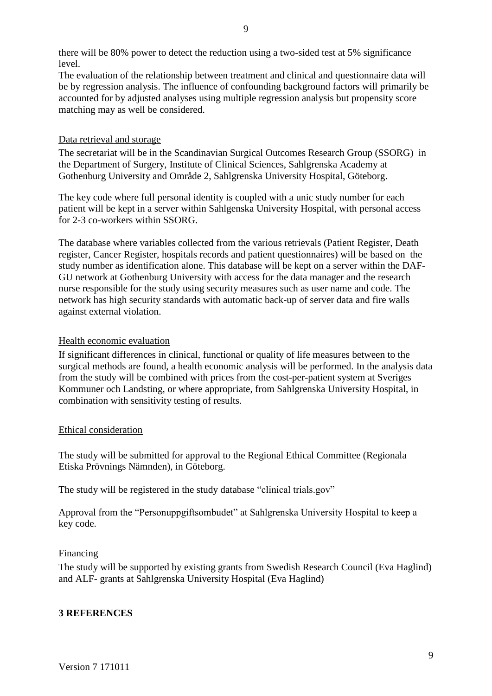there will be 80% power to detect the reduction using a two-sided test at 5% significance level.

The evaluation of the relationship between treatment and clinical and questionnaire data will be by regression analysis. The influence of confounding background factors will primarily be accounted for by adjusted analyses using multiple regression analysis but propensity score matching may as well be considered.

### Data retrieval and storage

The secretariat will be in the Scandinavian Surgical Outcomes Research Group (SSORG) in the Department of Surgery, Institute of Clinical Sciences, Sahlgrenska Academy at Gothenburg University and Område 2, Sahlgrenska University Hospital, Göteborg.

The key code where full personal identity is coupled with a unic study number for each patient will be kept in a server within Sahlgenska University Hospital, with personal access for 2-3 co-workers within SSORG.

The database where variables collected from the various retrievals (Patient Register, Death register, Cancer Register, hospitals records and patient questionnaires) will be based on the study number as identification alone. This database will be kept on a server within the DAF-GU network at Gothenburg University with access for the data manager and the research nurse responsible for the study using security measures such as user name and code. The network has high security standards with automatic back-up of server data and fire walls against external violation.

### Health economic evaluation

If significant differences in clinical, functional or quality of life measures between to the surgical methods are found, a health economic analysis will be performed. In the analysis data from the study will be combined with prices from the cost-per-patient system at Sveriges Kommuner och Landsting, or where appropriate, from Sahlgrenska University Hospital, in combination with sensitivity testing of results.

### Ethical consideration

The study will be submitted for approval to the Regional Ethical Committee (Regionala Etiska Prövnings Nämnden), in Göteborg.

The study will be registered in the study database "clinical trials.gov"

Approval from the "Personuppgiftsombudet" at Sahlgrenska University Hospital to keep a key code.

### Financing

The study will be supported by existing grants from Swedish Research Council (Eva Haglind) and ALF- grants at Sahlgrenska University Hospital (Eva Haglind)

# **3 REFERENCES**